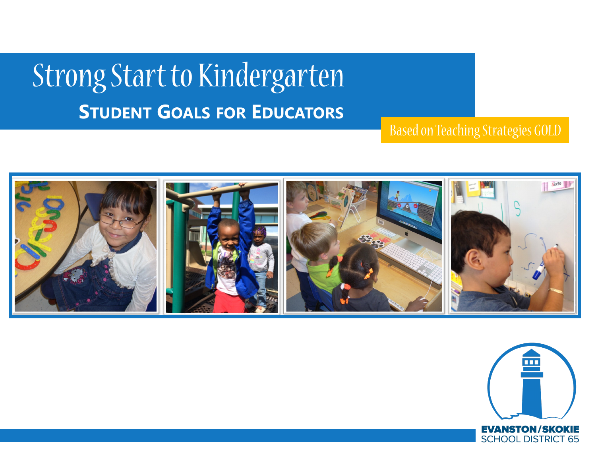# Strong Start to Kindergarten **STUDENT GOALS FOR EDUCATORS**

Based on Teaching Strategies GOLD



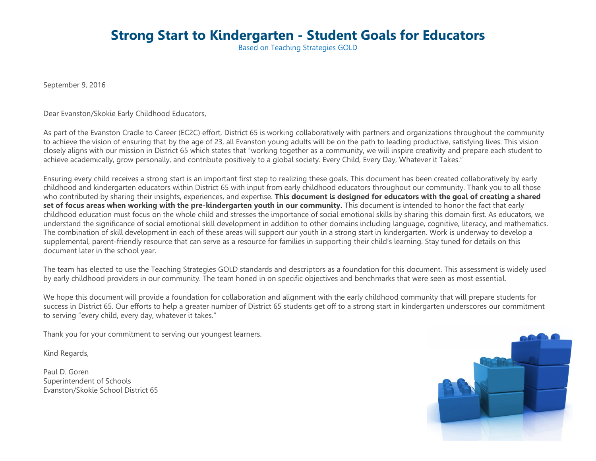## **Strong Start to Kindergarten - Student Goals for Educators**

Based on Teaching Strategies GOLD

September 9, 2016

Dear Evanston/Skokie Early Childhood Educators,

As part of the Evanston Cradle to Career (EC2C) effort, District 65 is working collaboratively with partners and organizations throughout the community to achieve the vision of ensuring that by the age of 23, all Evanston young adults will be on the path to leading productive, satisfying lives. This vision closely aligns with our mission in District 65 which states that "working together as a community, we will inspire creativity and prepare each student to achieve academically, grow personally, and contribute positively to a global society. Every Child, Every Day, Whatever it Takes."

Ensuring every child receives a strong start is an important first step to realizing these goals. This document has been created collaboratively by early childhood and kindergarten educators within District 65 with input from early childhood educators throughout our community. Thank you to all those who contributed by sharing their insights, experiences, and expertise. **This document is designed for educators with the goal of creating a shared**  set of focus areas when working with the pre-kindergarten youth in our community. This document is intended to honor the fact that early childhood education must focus on the whole child and stresses the importance of social emotional skills by sharing this domain first. As educators, we understand the significance of social emotional skill development in addition to other domains including language, cognitive, literacy, and mathematics. The combination of skill development in each of these areas will support our youth in a strong start in kindergarten. Work is underway to develop a supplemental, parent-friendly resource that can serve as a resource for families in supporting their child's learning. Stay tuned for details on this document later in the school year.

The team has elected to use the Teaching Strategies GOLD standards and descriptors as a foundation for this document. This assessment is widely used by early childhood providers in our community. The team honed in on specific objectives and benchmarks that were seen as most essential.

We hope this document will provide a foundation for collaboration and alignment with the early childhood community that will prepare students for success in District 65. Our efforts to help a greater number of District 65 students get off to a strong start in kindergarten underscores our commitment to serving "every child, every day, whatever it takes."

Thank you for your commitment to serving our youngest learners.

Kind Regards,

Paul D. Goren Superintendent of Schools Evanston/Skokie School District 65

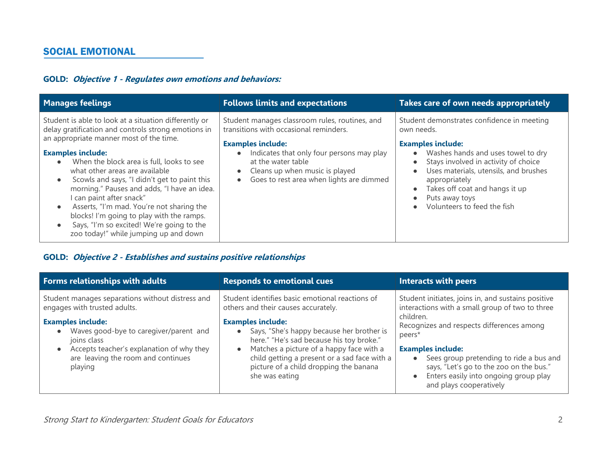## **GOLD: Objective 1 - Regulates own emotions and behaviors:**

| <b>Manages feelings</b>                                                                                                                                                                                                                                                                                                                                                                                                                                                                                                                                                                    | <b>Follows limits and expectations</b>                                                                                                                                                                                                                                                                       | Takes care of own needs appropriately                                                                                                                                                                                                                                                                           |
|--------------------------------------------------------------------------------------------------------------------------------------------------------------------------------------------------------------------------------------------------------------------------------------------------------------------------------------------------------------------------------------------------------------------------------------------------------------------------------------------------------------------------------------------------------------------------------------------|--------------------------------------------------------------------------------------------------------------------------------------------------------------------------------------------------------------------------------------------------------------------------------------------------------------|-----------------------------------------------------------------------------------------------------------------------------------------------------------------------------------------------------------------------------------------------------------------------------------------------------------------|
| Student is able to look at a situation differently or<br>delay gratification and controls strong emotions in<br>an appropriate manner most of the time.<br><b>Examples include:</b><br>When the block area is full, looks to see<br>$\bullet$<br>what other areas are available<br>Scowls and says, "I didn't get to paint this<br>morning." Pauses and adds, "I have an idea.<br>I can paint after snack"<br>Asserts, "I'm mad. You're not sharing the<br>blocks! I'm going to play with the ramps.<br>Says, "I'm so excited! We're going to the<br>zoo today!" while jumping up and down | Student manages classroom rules, routines, and<br>transitions with occasional reminders.<br><b>Examples include:</b><br>Indicates that only four persons may play<br>$\bullet$<br>at the water table<br>Cleans up when music is played<br>$\bullet$<br>Goes to rest area when lights are dimmed<br>$\bullet$ | Student demonstrates confidence in meeting<br>own needs.<br><b>Examples include:</b><br>Washes hands and uses towel to dry<br>Stays involved in activity of choice<br>Uses materials, utensils, and brushes<br>appropriately<br>Takes off coat and hangs it up<br>Puts away toys<br>Volunteers to feed the fish |

## **GOLD: Objective 2 - Establishes and sustains positive relationships**

| Forms relationships with adults                                                                                                                                                                                                                                                               | <b>Responds to emotional cues</b>                                                                                                                                                                                                                                                                                                                                   | <b>Interacts with peers</b>                                                                                                                                                                                                                                                                                                                                     |
|-----------------------------------------------------------------------------------------------------------------------------------------------------------------------------------------------------------------------------------------------------------------------------------------------|---------------------------------------------------------------------------------------------------------------------------------------------------------------------------------------------------------------------------------------------------------------------------------------------------------------------------------------------------------------------|-----------------------------------------------------------------------------------------------------------------------------------------------------------------------------------------------------------------------------------------------------------------------------------------------------------------------------------------------------------------|
| Student manages separations without distress and<br>engages with trusted adults.<br><b>Examples include:</b><br>Waves good-bye to caregiver/parent and<br>$\bullet$<br>joins class<br>Accepts teacher's explanation of why they<br>$\bullet$<br>are leaving the room and continues<br>playing | Student identifies basic emotional reactions of<br>others and their causes accurately.<br><b>Examples include:</b><br>Says, "She's happy because her brother is<br>here." "He's sad because his toy broke."<br>Matches a picture of a happy face with a<br>child getting a present or a sad face with a<br>picture of a child dropping the banana<br>she was eating | Student initiates, joins in, and sustains positive<br>interactions with a small group of two to three<br>children.<br>Recognizes and respects differences among<br>peers*<br><b>Examples include:</b><br>Sees group pretending to ride a bus and<br>says, "Let's go to the zoo on the bus."<br>Enters easily into ongoing group play<br>and plays cooperatively |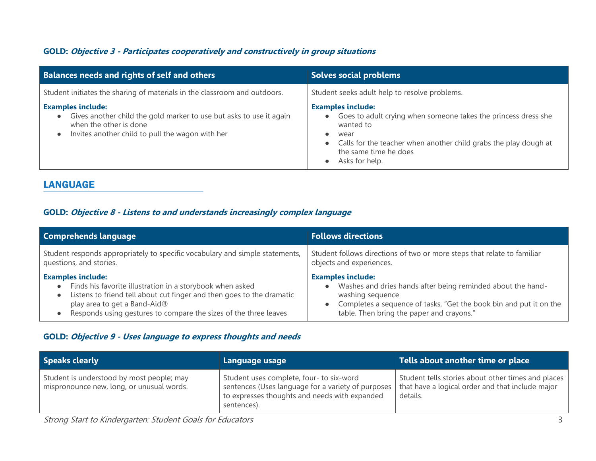## **GOLD: Objective 3 - Participates cooperatively and constructively in group situations**

| <b>Balances needs and rights of self and others</b>                                                                                                                                                     | <b>Solves social problems</b>                                                                                                                                                                                                                                                      |
|---------------------------------------------------------------------------------------------------------------------------------------------------------------------------------------------------------|------------------------------------------------------------------------------------------------------------------------------------------------------------------------------------------------------------------------------------------------------------------------------------|
| Student initiates the sharing of materials in the classroom and outdoors.                                                                                                                               | Student seeks adult help to resolve problems.                                                                                                                                                                                                                                      |
| <b>Examples include:</b><br>Gives another child the gold marker to use but asks to use it again<br>$\bullet$<br>when the other is done<br>Invites another child to pull the wagon with her<br>$\bullet$ | <b>Examples include:</b><br>Goes to adult crying when someone takes the princess dress she<br>$\bullet$<br>wanted to<br>wear<br>$\bullet$<br>Calls for the teacher when another child grabs the play dough at<br>$\bullet$<br>the same time he does<br>Asks for help.<br>$\bullet$ |

## LANGUAGE

## **GOLD: Objective 8 - Listens to and understands increasingly complex language**

| <b>Comprehends language</b>                                                                                                                                                                                                                                                                               | <b>Follows directions</b>                                                                                                                                                                                                                                |
|-----------------------------------------------------------------------------------------------------------------------------------------------------------------------------------------------------------------------------------------------------------------------------------------------------------|----------------------------------------------------------------------------------------------------------------------------------------------------------------------------------------------------------------------------------------------------------|
| Student responds appropriately to specific vocabulary and simple statements,<br>questions, and stories.                                                                                                                                                                                                   | Student follows directions of two or more steps that relate to familiar<br>objects and experiences.                                                                                                                                                      |
| <b>Examples include:</b><br>Finds his favorite illustration in a storybook when asked<br>$\bullet$<br>Listens to friend tell about cut finger and then goes to the dramatic<br>$\bullet$<br>play area to get a Band-Aid®<br>Responds using gestures to compare the sizes of the three leaves<br>$\bullet$ | <b>Examples include:</b><br>Washes and dries hands after being reminded about the hand-<br>$\bullet$<br>washing sequence<br>Completes a sequence of tasks, "Get the book bin and put it on the<br>$\bullet$<br>table. Then bring the paper and crayons." |

## **GOLD: Objective 9 - Uses language to express thoughts and needs**

| <b>Speaks clearly</b>                                                                  | Language usage                                                                                                                                                 | Tells about another time or place                                                                                  |
|----------------------------------------------------------------------------------------|----------------------------------------------------------------------------------------------------------------------------------------------------------------|--------------------------------------------------------------------------------------------------------------------|
| Student is understood by most people; may<br>mispronounce new, long, or unusual words. | Student uses complete, four- to six-word<br>sentences (Uses language for a variety of purposes<br>to expresses thoughts and needs with expanded<br>sentences). | Student tells stories about other times and places<br>that have a logical order and that include major<br>details. |

Strong Start to Kindergarten: Student Goals for Educators 3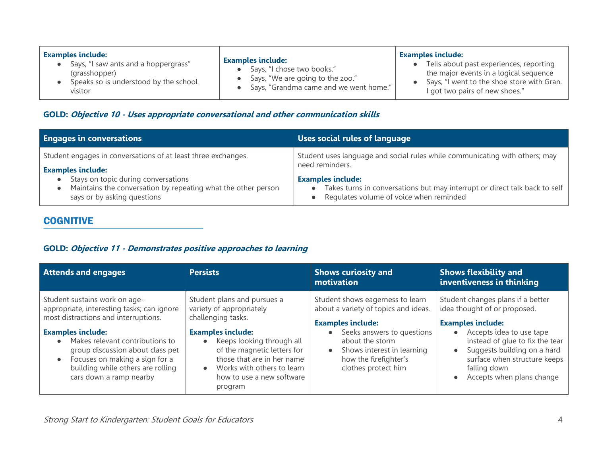## **GOLD: Objective 10 - Uses appropriate conversational and other communication skills**

| <b>Engages in conversations</b>                                                                                                                                 | <b>Uses social rules of language</b>                                                                                                                                 |  |
|-----------------------------------------------------------------------------------------------------------------------------------------------------------------|----------------------------------------------------------------------------------------------------------------------------------------------------------------------|--|
| Student engages in conversations of at least three exchanges.                                                                                                   | Student uses language and social rules while communicating with others; may                                                                                          |  |
| <b>Examples include:</b><br>Stays on topic during conversations<br>Maintains the conversation by repeating what the other person<br>says or by asking questions | need reminders.<br><b>Examples include:</b><br>Takes turns in conversations but may interrupt or direct talk back to self<br>Regulates volume of voice when reminded |  |

## **COGNITIVE**

## **GOLD: Objective 11 - Demonstrates positive approaches to learning**

| <b>Attends and engages</b>                                                                                                                                                                                                                                                                                                                         | <b>Persists</b>                                                                                                                                                                                                                                                                                     | <b>Shows curiosity and</b><br>motivation                                                                                                                                                                                                         | <b>Shows flexibility and</b><br>inventiveness in thinking                                                                                                                                                                                                                             |
|----------------------------------------------------------------------------------------------------------------------------------------------------------------------------------------------------------------------------------------------------------------------------------------------------------------------------------------------------|-----------------------------------------------------------------------------------------------------------------------------------------------------------------------------------------------------------------------------------------------------------------------------------------------------|--------------------------------------------------------------------------------------------------------------------------------------------------------------------------------------------------------------------------------------------------|---------------------------------------------------------------------------------------------------------------------------------------------------------------------------------------------------------------------------------------------------------------------------------------|
| Student sustains work on age-<br>appropriate, interesting tasks; can ignore<br>most distractions and interruptions.<br><b>Examples include:</b><br>Makes relevant contributions to<br>$\bullet$<br>group discussion about class pet<br>Focuses on making a sign for a<br>$\bullet$<br>building while others are rolling<br>cars down a ramp nearby | Student plans and pursues a<br>variety of appropriately<br>challenging tasks.<br><b>Examples include:</b><br>Keeps looking through all<br>$\bullet$<br>of the magnetic letters for<br>those that are in her name<br>Works with others to learn<br>$\bullet$<br>how to use a new software<br>program | Student shows eagerness to learn<br>about a variety of topics and ideas.<br><b>Examples include:</b><br>Seeks answers to questions<br>about the storm<br>Shows interest in learning<br>$\bullet$<br>how the firefighter's<br>clothes protect him | Student changes plans if a better<br>idea thought of or proposed.<br><b>Examples include:</b><br>Accepts idea to use tape<br>instead of glue to fix the tear<br>Suggests building on a hard<br>$\bullet$<br>surface when structure keeps<br>falling down<br>Accepts when plans change |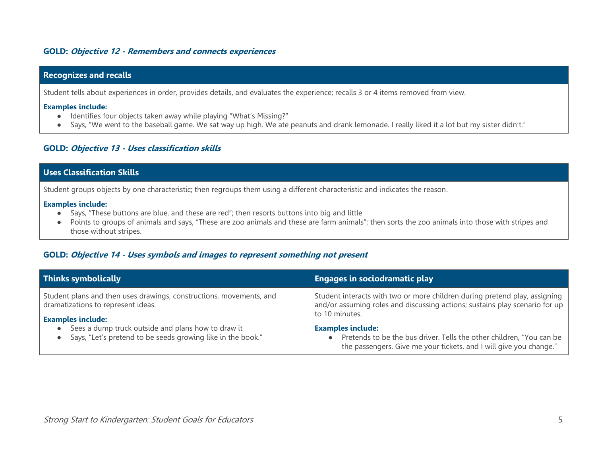#### **GOLD: Objective 12 - Remembers and connects experiences**

#### **Recognizes and recalls**

Student tells about experiences in order, provides details, and evaluates the experience; recalls 3 or 4 items removed from view.

#### **Examples include:**

- Identifies four objects taken away while playing "What's Missing?"
- Says, "We went to the baseball game. We sat way up high. We ate peanuts and drank lemonade. I really liked it a lot but my sister didn't."

#### **GOLD: Objective 13 - Uses classification skills**

### **Uses Classification Skills**

Student groups objects by one characteristic; then regroups them using a different characteristic and indicates the reason.

#### **Examples include:**

- Says, "These buttons are blue, and these are red"; then resorts buttons into big and little
- Points to groups of animals and says, "These are zoo animals and these are farm animals"; then sorts the zoo animals into those with stripes and those without stripes.

#### **GOLD: Objective 14 - Uses symbols and images to represent something not present**

| <b>Thinks symbolically</b>                                                                                                            | <b>Engages in sociodramatic play</b>                                                                                                                                        |
|---------------------------------------------------------------------------------------------------------------------------------------|-----------------------------------------------------------------------------------------------------------------------------------------------------------------------------|
| Student plans and then uses drawings, constructions, movements, and<br>dramatizations to represent ideas.<br><b>Examples include:</b> | Student interacts with two or more children during pretend play, assigning<br>and/or assuming roles and discussing actions; sustains play scenario for up<br>to 10 minutes. |
| Sees a dump truck outside and plans how to draw it<br>Says, "Let's pretend to be seeds growing like in the book."                     | <b>Examples include:</b><br>Pretends to be the bus driver. Tells the other children, "You can be<br>the passengers. Give me your tickets, and I will give you change."      |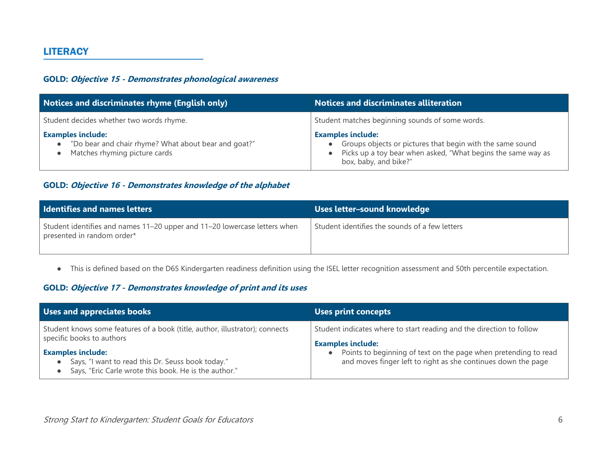## **LITERACY**

## **GOLD: Objective 15 - Demonstrates phonological awareness**

| <b>Notices and discriminates rhyme (English only)</b>                                                                          | <b>Notices and discriminates alliteration</b>                                                                                                                                  |
|--------------------------------------------------------------------------------------------------------------------------------|--------------------------------------------------------------------------------------------------------------------------------------------------------------------------------|
| Student decides whether two words rhyme.                                                                                       | Student matches beginning sounds of some words.                                                                                                                                |
| <b>Examples include:</b><br>"Do bear and chair rhyme? What about bear and goat?"<br>$\bullet$<br>Matches rhyming picture cards | <b>Examples include:</b><br>Groups objects or pictures that begin with the same sound<br>Picks up a toy bear when asked, "What begins the same way as<br>box, baby, and bike?" |

## **GOLD: Objective 16 - Demonstrates knowledge of the alphabet**

| <b>Identifies and names letters</b>                                                                     | Uses letter-sound knowledge                    |
|---------------------------------------------------------------------------------------------------------|------------------------------------------------|
| Student identifies and names 11-20 upper and 11-20 lowercase letters when<br>presented in random order* | Student identifies the sounds of a few letters |

● This is defined based on the D65 Kindergarten readiness definition using the ISEL letter recognition assessment and 50th percentile expectation.

## **GOLD: Objective 17 - Demonstrates knowledge of print and its uses**

| Uses and appreciates books                                                                                                             | <b>Uses print concepts</b>                                                                                                       |
|----------------------------------------------------------------------------------------------------------------------------------------|----------------------------------------------------------------------------------------------------------------------------------|
| Student knows some features of a book (title, author, illustrator); connects<br>specific books to authors                              | Student indicates where to start reading and the direction to follow<br><b>Examples include:</b>                                 |
| <b>Examples include:</b><br>Says, "I want to read this Dr. Seuss book today."<br>Says, "Eric Carle wrote this book. He is the author." | Points to beginning of text on the page when pretending to read<br>and moves finger left to right as she continues down the page |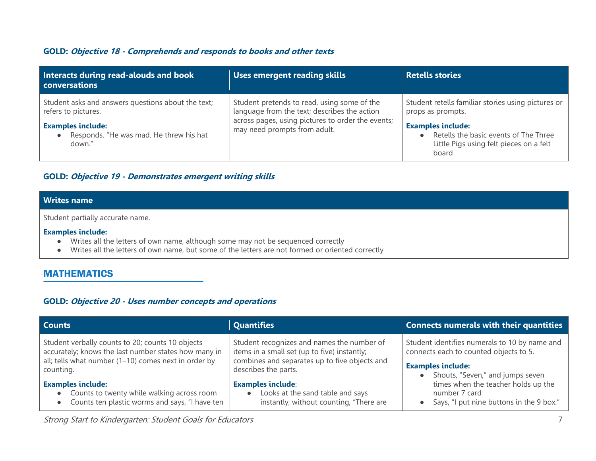#### **GOLD: Objective 18 - Comprehends and responds to books and other texts**

| Interacts during read-alouds and book<br>conversations                                     | Uses emergent reading skills                                                                                                                                                     | <b>Retells stories</b>                                                                                                |
|--------------------------------------------------------------------------------------------|----------------------------------------------------------------------------------------------------------------------------------------------------------------------------------|-----------------------------------------------------------------------------------------------------------------------|
| Student asks and answers questions about the text;<br>refers to pictures.                  | Student pretends to read, using some of the<br>language from the text; describes the action<br>across pages, using pictures to order the events;<br>may need prompts from adult. | Student retells familiar stories using pictures or<br>props as prompts.                                               |
| <b>Examples include:</b><br>Responds, "He was mad. He threw his hat<br>$\bullet$<br>down." |                                                                                                                                                                                  | <b>Examples include:</b><br>Retells the basic events of The Three<br>Little Pigs using felt pieces on a felt<br>board |

#### **GOLD: Objective 19 - Demonstrates emergent writing skills**

## **Writes name**

Student partially accurate name.

#### **Examples include:**

- Writes all the letters of own name, although some may not be sequenced correctly
- Writes all the letters of own name, but some of the letters are not formed or oriented correctly

## MATHEMATICS

#### **GOLD: Objective 20 - Uses number concepts and operations**

| <b>Counts</b>                                                                                                                                                                   | <b>Quantifies</b>                                                                                                                                                   | Connects numerals with their quantities                                                                                                                                                                                                                     |
|---------------------------------------------------------------------------------------------------------------------------------------------------------------------------------|---------------------------------------------------------------------------------------------------------------------------------------------------------------------|-------------------------------------------------------------------------------------------------------------------------------------------------------------------------------------------------------------------------------------------------------------|
| Student verbally counts to 20; counts 10 objects<br>accurately; knows the last number states how many in<br>all; tells what number $(1-10)$ comes next in order by<br>counting. | Student recognizes and names the number of<br>items in a small set (up to five) instantly;<br>combines and separates up to five objects and<br>describes the parts. | Student identifies numerals to 10 by name and<br>connects each to counted objects to 5.<br><b>Examples include:</b><br>Shouts, "Seven," and jumps seven<br>times when the teacher holds up the<br>number 7 card<br>Says, "I put nine buttons in the 9 box." |
| <b>Examples include:</b><br>• Counts to twenty while walking across room<br>Counts ten plastic worms and says, "I have ten<br>$\bullet$                                         | <b>Examples include:</b><br>Looks at the sand table and says<br>$\bullet$<br>instantly, without counting, "There are                                                |                                                                                                                                                                                                                                                             |

Strong Start to Kindergarten: Student Goals for Educators 7